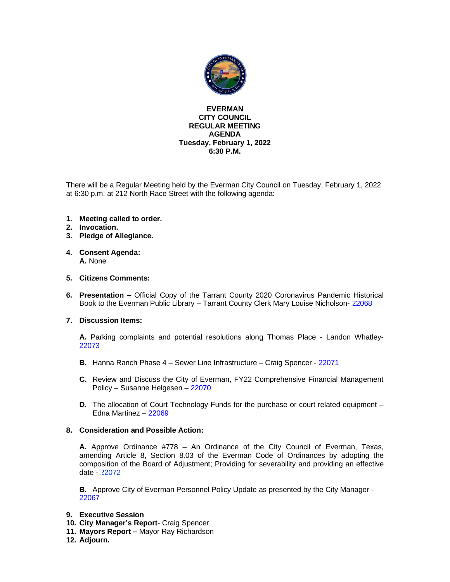

#### **EVERMAN CITY COUNCIL REGULAR MEETING AGENDA Tuesday, February 1, 2022 6:30 P.M.**

There will be a Regular Meeting held by the Everman City Council on Tuesday, February 1, 2022 at 6:30 p.m. at 212 North Race Street with the following agenda:

- **1. Meeting called to order.**
- **2. Invocation.**
- **3. Pledge of Allegiance.**
- **4. Consent Agenda: A.** None

#### **5. Citizens Comments:**

**6. Presentation –** Official Copy of the Tarrant County 2020 Coronavirus Pandemic Historical Book to the Everman Public Library – Tarrant County Clerk Mary Louise Nicholson- [22068](#page-2-0)

#### **7. Discussion Items:**

**A.** Parking complaints and potential resolutions along Thomas Place - Landon Whatley-[22073](#page-3-0)

- **B.** Hanna Ranch Phase 4 Sewer Line Infrastructure Craig Spencer [22071](#page-4-0)
- **C.** Review and Discuss the City of Everman, FY22 Comprehensive Financial Management Policy – Susanne Helgesen – [22070](#page-5-0)
- **D.** The allocation of Court Technology Funds for the purchase or court related equipment Edna Martinez – [22069](#page-6-0)

#### **8. Consideration and Possible Action:**

**A.** Approve Ordinance #778 – An Ordinance of the City Council of Everman, Texas, amending Article 8, Section 8.03 of the Everman Code of Ordinances by adopting the composition of the Board of Adjustment; Providing for severability and providing an effective date - [22072](#page-7-0)

**B.** Approve City of Everman Personnel Policy Update as presented by the City Manager - [22067](#page-8-0)

- **9. Executive Session**
- **10. City Manager's Report** Craig Spencer
- **11. Mayors Report –** Mayor Ray Richardson
- **12. Adjourn.**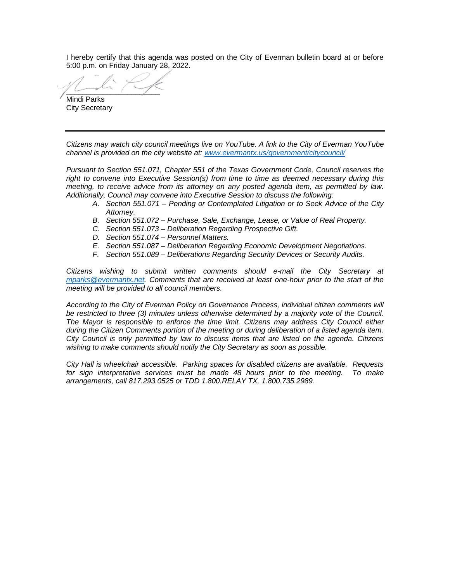I hereby certify that this agenda was posted on the City of Everman bulletin board at or before 5:00 p.m. on Friday January 28, 2022.

 $\sim$ Mindi Parks

City Secretary

*Citizens may watch city council meetings live on YouTube. A link to the City of Everman YouTube channel is provided on the city website at: [www.evermantx.us/government/citycouncil/](http://www.evermantx.us/government/citycouncil/)*

*Pursuant to Section 551.071, Chapter 551 of the Texas Government Code, Council reserves the right to convene into Executive Session(s) from time to time as deemed necessary during this meeting, to receive advice from its attorney on any posted agenda item, as permitted by law. Additionally, Council may convene into Executive Session to discuss the following:*

- *A. Section 551.071 – Pending or Contemplated Litigation or to Seek Advice of the City Attorney.*
- *B. Section 551.072 – Purchase, Sale, Exchange, Lease, or Value of Real Property.*
- *C. Section 551.073 – Deliberation Regarding Prospective Gift.*
- *D. Section 551.074 – Personnel Matters.*
- *E. Section 551.087 – Deliberation Regarding Economic Development Negotiations.*
- *F. Section 551.089 – Deliberations Regarding Security Devices or Security Audits.*

*Citizens wishing to submit written comments should e-mail the City Secretary at [mparks@evermantx.net.](mailto:mparks@evermantx.net) Comments that are received at least one-hour prior to the start of the meeting will be provided to all council members.* 

*According to the City of Everman Policy on Governance Process, individual citizen comments will be restricted to three (3) minutes unless otherwise determined by a majority vote of the Council. The Mayor is responsible to enforce the time limit. Citizens may address City Council either during the Citizen Comments portion of the meeting or during deliberation of a listed agenda item. City Council is only permitted by law to discuss items that are listed on the agenda. Citizens wishing to make comments should notify the City Secretary as soon as possible.* 

*City Hall is wheelchair accessible. Parking spaces for disabled citizens are available. Requests for sign interpretative services must be made 48 hours prior to the meeting. To make arrangements, call 817.293.0525 or TDD 1.800.RELAY TX, 1.800.735.2989.*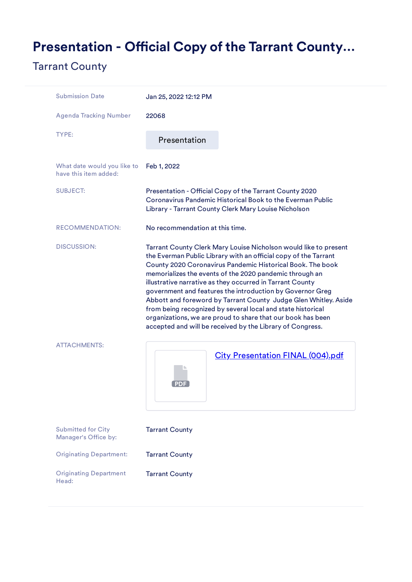# <span id="page-2-0"></span>Presentation - Official Copy of the Tarrant County...

### Tarrant County

| <b>Submission Date</b>                               | Jan 25, 2022 12:12 PM                                                                                                                                                                                                                                                                                                                                                                                                                                                                                                                                                                                                                                |
|------------------------------------------------------|------------------------------------------------------------------------------------------------------------------------------------------------------------------------------------------------------------------------------------------------------------------------------------------------------------------------------------------------------------------------------------------------------------------------------------------------------------------------------------------------------------------------------------------------------------------------------------------------------------------------------------------------------|
| <b>Agenda Tracking Number</b>                        | 22068                                                                                                                                                                                                                                                                                                                                                                                                                                                                                                                                                                                                                                                |
| TYPE:                                                | Presentation                                                                                                                                                                                                                                                                                                                                                                                                                                                                                                                                                                                                                                         |
| What date would you like to<br>have this item added: | Feb 1, 2022                                                                                                                                                                                                                                                                                                                                                                                                                                                                                                                                                                                                                                          |
| <b>SUBJECT:</b>                                      | Presentation - Official Copy of the Tarrant County 2020<br>Coronavirus Pandemic Historical Book to the Everman Public<br>Library - Tarrant County Clerk Mary Louise Nicholson                                                                                                                                                                                                                                                                                                                                                                                                                                                                        |
| RECOMMENDATION:                                      | No recommendation at this time.                                                                                                                                                                                                                                                                                                                                                                                                                                                                                                                                                                                                                      |
| <b>DISCUSSION:</b>                                   | Tarrant County Clerk Mary Louise Nicholson would like to present<br>the Everman Public Library with an official copy of the Tarrant<br>County 2020 Coronavirus Pandemic Historical Book. The book<br>memorializes the events of the 2020 pandemic through an<br>illustrative narrative as they occurred in Tarrant County<br>government and features the introduction by Governor Greg<br>Abbott and foreword by Tarrant County Judge Glen Whitley. Aside<br>from being recognized by several local and state historical<br>organizations, we are proud to share that our book has been<br>accepted and will be received by the Library of Congress. |
| <b>ATTACHMENTS:</b>                                  | City Presentation FINAL (004).pdf                                                                                                                                                                                                                                                                                                                                                                                                                                                                                                                                                                                                                    |
| <b>Submitted for City</b><br>Manager's Office by:    | <b>Tarrant County</b>                                                                                                                                                                                                                                                                                                                                                                                                                                                                                                                                                                                                                                |
| <b>Originating Department:</b>                       | <b>Tarrant County</b>                                                                                                                                                                                                                                                                                                                                                                                                                                                                                                                                                                                                                                |
| <b>Originating Department</b><br>Head:               | <b>Tarrant County</b>                                                                                                                                                                                                                                                                                                                                                                                                                                                                                                                                                                                                                                |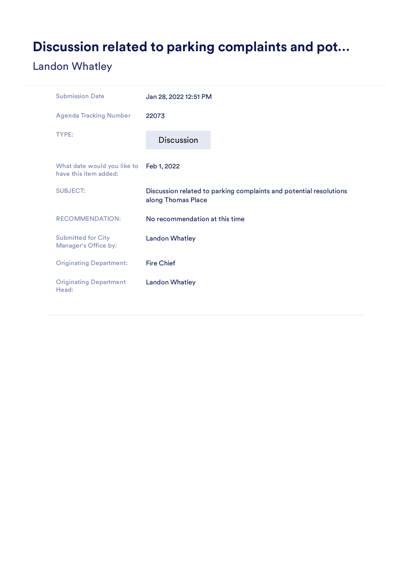# <span id="page-3-0"></span>Discussion related to parking complaints and pot…

## Landon Whatley

| <b>Submission Date</b>                               | Jan 28, 2022 12:51 PM                                                                    |
|------------------------------------------------------|------------------------------------------------------------------------------------------|
| <b>Agenda Tracking Number</b>                        | 22073                                                                                    |
| TYPE:                                                | <b>Discussion</b>                                                                        |
| What date would you like to<br>have this item added: | Feb 1, 2022                                                                              |
| <b>SUBJECT:</b>                                      | Discussion related to parking complaints and potential resolutions<br>along Thomas Place |
| <b>RECOMMENDATION:</b>                               | No recommendation at this time                                                           |
| <b>Submitted for City</b><br>Manager's Office by:    | <b>Landon Whatley</b>                                                                    |
| <b>Originating Department:</b>                       | <b>Fire Chief</b>                                                                        |
| <b>Originating Department</b><br>Head:               | <b>Landon Whatley</b>                                                                    |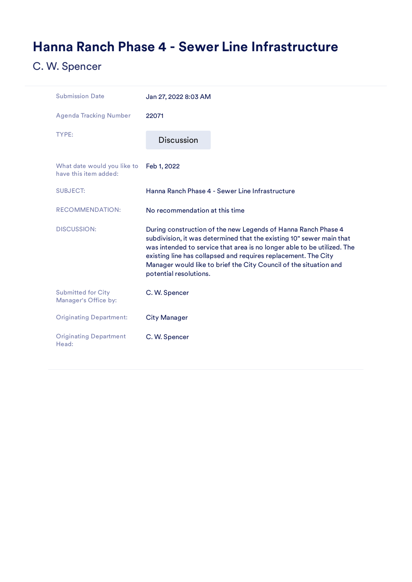# <span id="page-4-0"></span>Hanna Ranch Phase 4 - Sewer Line Infrastructure

## C. W. Spencer

| <b>Submission Date</b>                               | Jan 27, 2022 8:03 AM                                                                                                                                                                                                                                                                                                                                                              |
|------------------------------------------------------|-----------------------------------------------------------------------------------------------------------------------------------------------------------------------------------------------------------------------------------------------------------------------------------------------------------------------------------------------------------------------------------|
| <b>Agenda Tracking Number</b>                        | 22071                                                                                                                                                                                                                                                                                                                                                                             |
| TYPE:                                                | <b>Discussion</b>                                                                                                                                                                                                                                                                                                                                                                 |
| What date would you like to<br>have this item added: | Feb 1, 2022                                                                                                                                                                                                                                                                                                                                                                       |
| <b>SUBJECT:</b>                                      | Hanna Ranch Phase 4 - Sewer Line Infrastructure                                                                                                                                                                                                                                                                                                                                   |
| <b>RECOMMENDATION:</b>                               | No recommendation at this time                                                                                                                                                                                                                                                                                                                                                    |
| <b>DISCUSSION:</b>                                   | During construction of the new Legends of Hanna Ranch Phase 4<br>subdivision, it was determined that the existing 10" sewer main that<br>was intended to service that area is no longer able to be utilized. The<br>existing line has collapsed and requires replacement. The City<br>Manager would like to brief the City Council of the situation and<br>potential resolutions. |
| <b>Submitted for City</b><br>Manager's Office by:    | C. W. Spencer                                                                                                                                                                                                                                                                                                                                                                     |
| <b>Originating Department:</b>                       | <b>City Manager</b>                                                                                                                                                                                                                                                                                                                                                               |
| <b>Originating Department</b><br>Head:               | C. W. Spencer                                                                                                                                                                                                                                                                                                                                                                     |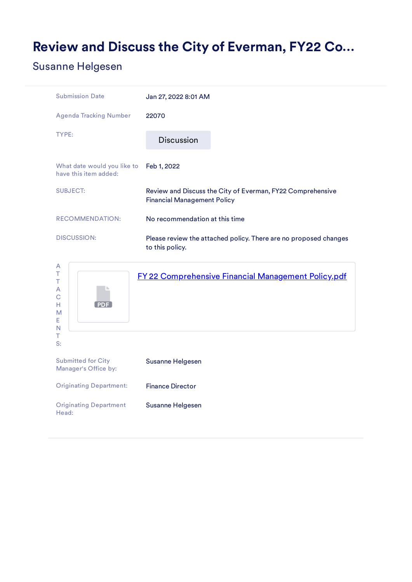## <span id="page-5-0"></span>Review and Discuss the City of Everman, FY22 Co…

#### Susanne Helgesen

| <b>Submission Date</b>                               | Jan 27, 2022 8:01 AM                                                                             |
|------------------------------------------------------|--------------------------------------------------------------------------------------------------|
| <b>Agenda Tracking Number</b>                        | 22070                                                                                            |
| TYPE:                                                | <b>Discussion</b>                                                                                |
| What date would you like to<br>have this item added: | Feb 1, 2022                                                                                      |
| <b>SUBJECT:</b>                                      | Review and Discuss the City of Everman, FY22 Comprehensive<br><b>Financial Management Policy</b> |
| <b>RECOMMENDATION:</b>                               | No recommendation at this time                                                                   |
| <b>DISCUSSION:</b>                                   | Please review the attached policy. There are no proposed changes<br>to this policy.              |
| A                                                    |                                                                                                  |

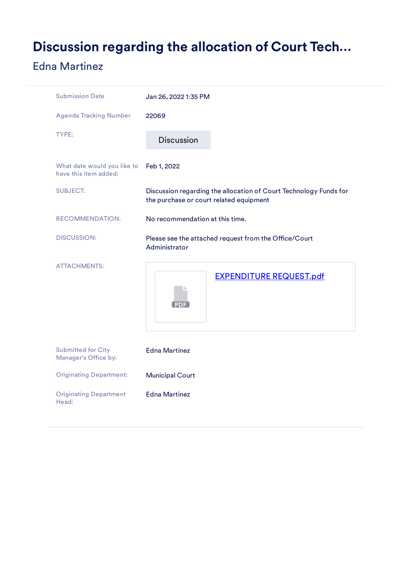## <span id="page-6-0"></span>Discussion regarding the allocation of Court Tech…

### Edna Martinez

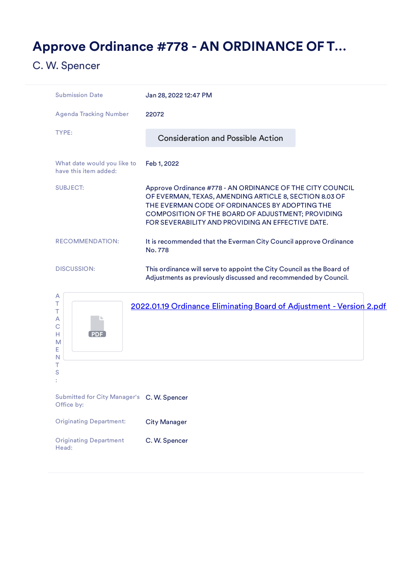## <span id="page-7-0"></span>Approve Ordinance #778 - AN ORDINANCE OF T…

### C. W. Spencer

| <b>Submission Date</b>                               | Jan 28, 2022 12:47 PM                                                                                                                                                                                                                                                           |
|------------------------------------------------------|---------------------------------------------------------------------------------------------------------------------------------------------------------------------------------------------------------------------------------------------------------------------------------|
| Agenda Tracking Number                               | 22072                                                                                                                                                                                                                                                                           |
| TYPE:                                                | <b>Consideration and Possible Action</b>                                                                                                                                                                                                                                        |
| What date would you like to<br>have this item added: | Feb 1, 2022                                                                                                                                                                                                                                                                     |
| <b>SUBJECT:</b>                                      | Approve Ordinance #778 - AN ORDINANCE OF THE CITY COUNCIL<br>OF EVERMAN, TEXAS, AMENDING ARTICLE 8, SECTION 8.03 OF<br>THE EVERMAN CODE OF ORDINANCES BY ADOPTING THE<br>COMPOSITION OF THE BOARD OF ADJUSTMENT; PROVIDING<br>FOR SEVERABILITY AND PROVIDING AN EFFECTIVE DATE. |
| <b>RECOMMENDATION:</b>                               | It is recommended that the Everman City Council approve Ordinance<br>No. 778                                                                                                                                                                                                    |
| <b>DISCUSSION:</b>                                   | This ordinance will serve to appoint the City Council as the Board of<br>Adjustments as previously discussed and recommended by Council.                                                                                                                                        |